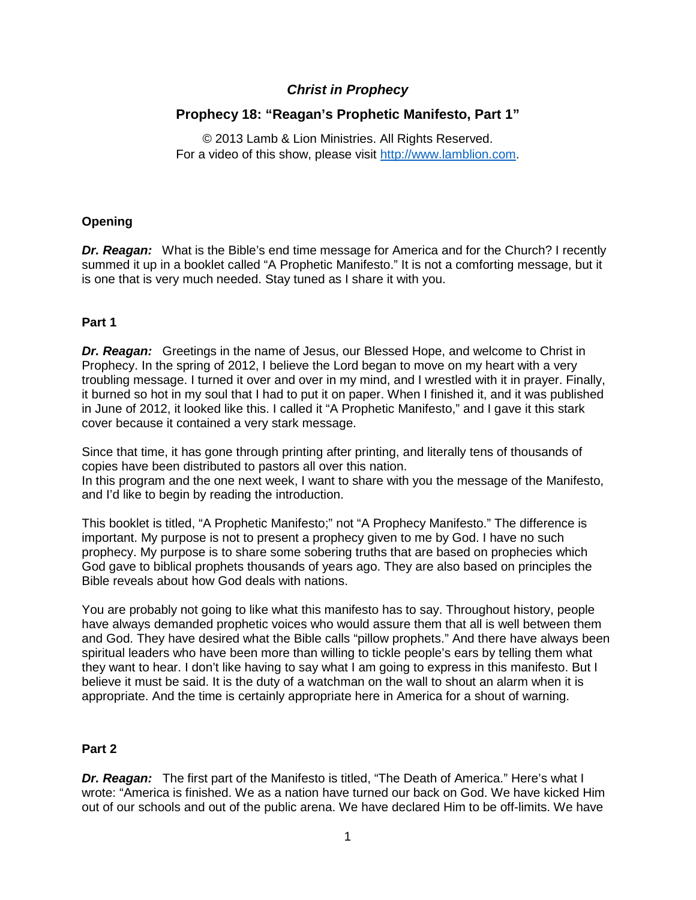# *Christ in Prophecy*

# **Prophecy 18: "Reagan's Prophetic Manifesto, Part 1"**

© 2013 Lamb & Lion Ministries. All Rights Reserved. For a video of this show, please visit [http://www.lamblion.com.](http://www.lamblion.com/)

# **Opening**

*Dr. Reagan:* What is the Bible's end time message for America and for the Church? I recently summed it up in a booklet called "A Prophetic Manifesto." It is not a comforting message, but it is one that is very much needed. Stay tuned as I share it with you.

# **Part 1**

*Dr. Reagan:* Greetings in the name of Jesus, our Blessed Hope, and welcome to Christ in Prophecy. In the spring of 2012, I believe the Lord began to move on my heart with a very troubling message. I turned it over and over in my mind, and I wrestled with it in prayer. Finally, it burned so hot in my soul that I had to put it on paper. When I finished it, and it was published in June of 2012, it looked like this. I called it "A Prophetic Manifesto," and I gave it this stark cover because it contained a very stark message.

Since that time, it has gone through printing after printing, and literally tens of thousands of copies have been distributed to pastors all over this nation. In this program and the one next week, I want to share with you the message of the Manifesto, and I'd like to begin by reading the introduction.

This booklet is titled, "A Prophetic Manifesto;" not "A Prophecy Manifesto." The difference is important. My purpose is not to present a prophecy given to me by God. I have no such prophecy. My purpose is to share some sobering truths that are based on prophecies which God gave to biblical prophets thousands of years ago. They are also based on principles the Bible reveals about how God deals with nations.

You are probably not going to like what this manifesto has to say. Throughout history, people have always demanded prophetic voices who would assure them that all is well between them and God. They have desired what the Bible calls "pillow prophets." And there have always been spiritual leaders who have been more than willing to tickle people's ears by telling them what they want to hear. I don't like having to say what I am going to express in this manifesto. But I believe it must be said. It is the duty of a watchman on the wall to shout an alarm when it is appropriate. And the time is certainly appropriate here in America for a shout of warning.

#### **Part 2**

*Dr. Reagan:* The first part of the Manifesto is titled, "The Death of America." Here's what I wrote: "America is finished. We as a nation have turned our back on God. We have kicked Him out of our schools and out of the public arena. We have declared Him to be off-limits. We have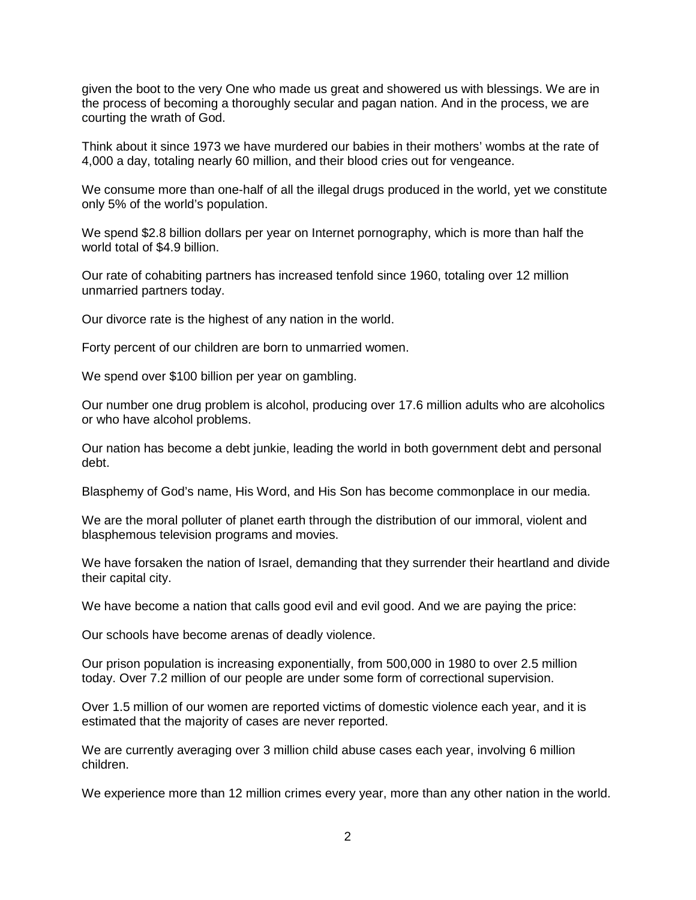given the boot to the very One who made us great and showered us with blessings. We are in the process of becoming a thoroughly secular and pagan nation. And in the process, we are courting the wrath of God.

Think about it since 1973 we have murdered our babies in their mothers' wombs at the rate of 4,000 a day, totaling nearly 60 million, and their blood cries out for vengeance.

We consume more than one-half of all the illegal drugs produced in the world, yet we constitute only 5% of the world's population.

We spend \$2.8 billion dollars per year on Internet pornography, which is more than half the world total of \$4.9 billion.

Our rate of cohabiting partners has increased tenfold since 1960, totaling over 12 million unmarried partners today.

Our divorce rate is the highest of any nation in the world.

Forty percent of our children are born to unmarried women.

We spend over \$100 billion per year on gambling.

Our number one drug problem is alcohol, producing over 17.6 million adults who are alcoholics or who have alcohol problems.

Our nation has become a debt junkie, leading the world in both government debt and personal debt.

Blasphemy of God's name, His Word, and His Son has become commonplace in our media.

We are the moral polluter of planet earth through the distribution of our immoral, violent and blasphemous television programs and movies.

We have forsaken the nation of Israel, demanding that they surrender their heartland and divide their capital city.

We have become a nation that calls good evil and evil good. And we are paying the price:

Our schools have become arenas of deadly violence.

Our prison population is increasing exponentially, from 500,000 in 1980 to over 2.5 million today. Over 7.2 million of our people are under some form of correctional supervision.

Over 1.5 million of our women are reported victims of domestic violence each year, and it is estimated that the majority of cases are never reported.

We are currently averaging over 3 million child abuse cases each year, involving 6 million children.

We experience more than 12 million crimes every year, more than any other nation in the world.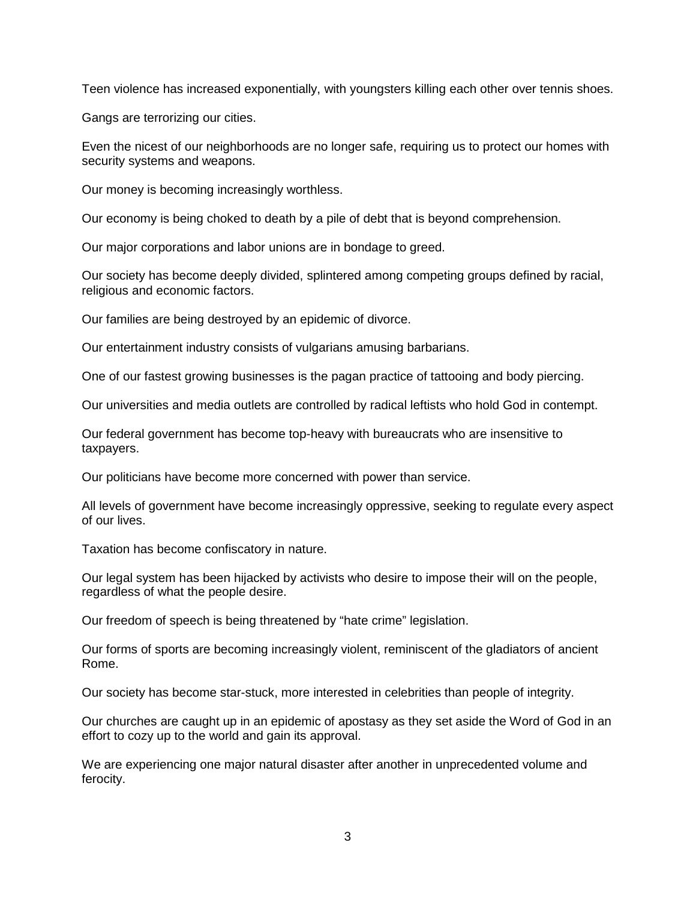Teen violence has increased exponentially, with youngsters killing each other over tennis shoes.

Gangs are terrorizing our cities.

Even the nicest of our neighborhoods are no longer safe, requiring us to protect our homes with security systems and weapons.

Our money is becoming increasingly worthless.

Our economy is being choked to death by a pile of debt that is beyond comprehension.

Our major corporations and labor unions are in bondage to greed.

Our society has become deeply divided, splintered among competing groups defined by racial, religious and economic factors.

Our families are being destroyed by an epidemic of divorce.

Our entertainment industry consists of vulgarians amusing barbarians.

One of our fastest growing businesses is the pagan practice of tattooing and body piercing.

Our universities and media outlets are controlled by radical leftists who hold God in contempt.

Our federal government has become top-heavy with bureaucrats who are insensitive to taxpayers.

Our politicians have become more concerned with power than service.

All levels of government have become increasingly oppressive, seeking to regulate every aspect of our lives.

Taxation has become confiscatory in nature.

Our legal system has been hijacked by activists who desire to impose their will on the people, regardless of what the people desire.

Our freedom of speech is being threatened by "hate crime" legislation.

Our forms of sports are becoming increasingly violent, reminiscent of the gladiators of ancient Rome.

Our society has become star-stuck, more interested in celebrities than people of integrity.

Our churches are caught up in an epidemic of apostasy as they set aside the Word of God in an effort to cozy up to the world and gain its approval.

We are experiencing one major natural disaster after another in unprecedented volume and ferocity.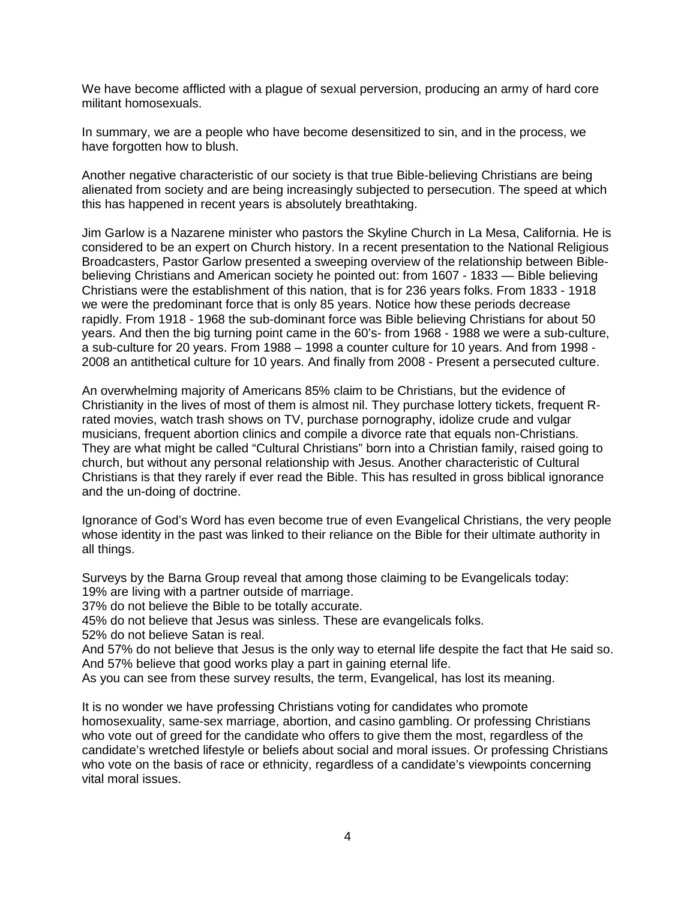We have become afflicted with a plague of sexual perversion, producing an army of hard core militant homosexuals.

In summary, we are a people who have become desensitized to sin, and in the process, we have forgotten how to blush.

Another negative characteristic of our society is that true Bible-believing Christians are being alienated from society and are being increasingly subjected to persecution. The speed at which this has happened in recent years is absolutely breathtaking.

Jim Garlow is a Nazarene minister who pastors the Skyline Church in La Mesa, California. He is considered to be an expert on Church history. In a recent presentation to the National Religious Broadcasters, Pastor Garlow presented a sweeping overview of the relationship between Biblebelieving Christians and American society he pointed out: from 1607 - 1833 — Bible believing Christians were the establishment of this nation, that is for 236 years folks. From 1833 - 1918 we were the predominant force that is only 85 years. Notice how these periods decrease rapidly. From 1918 - 1968 the sub-dominant force was Bible believing Christians for about 50 years. And then the big turning point came in the 60's- from 1968 - 1988 we were a sub-culture, a sub-culture for 20 years. From 1988 – 1998 a counter culture for 10 years. And from 1998 - 2008 an antithetical culture for 10 years. And finally from 2008 - Present a persecuted culture.

An overwhelming majority of Americans 85% claim to be Christians, but the evidence of Christianity in the lives of most of them is almost nil. They purchase lottery tickets, frequent Rrated movies, watch trash shows on TV, purchase pornography, idolize crude and vulgar musicians, frequent abortion clinics and compile a divorce rate that equals non-Christians. They are what might be called "Cultural Christians" born into a Christian family, raised going to church, but without any personal relationship with Jesus. Another characteristic of Cultural Christians is that they rarely if ever read the Bible. This has resulted in gross biblical ignorance and the un-doing of doctrine.

Ignorance of God's Word has even become true of even Evangelical Christians, the very people whose identity in the past was linked to their reliance on the Bible for their ultimate authority in all things.

Surveys by the Barna Group reveal that among those claiming to be Evangelicals today: 19% are living with a partner outside of marriage.

37% do not believe the Bible to be totally accurate.

45% do not believe that Jesus was sinless. These are evangelicals folks.

52% do not believe Satan is real.

And 57% do not believe that Jesus is the only way to eternal life despite the fact that He said so. And 57% believe that good works play a part in gaining eternal life.

As you can see from these survey results, the term, Evangelical, has lost its meaning.

It is no wonder we have professing Christians voting for candidates who promote homosexuality, same-sex marriage, abortion, and casino gambling. Or professing Christians who vote out of greed for the candidate who offers to give them the most, regardless of the candidate's wretched lifestyle or beliefs about social and moral issues. Or professing Christians who vote on the basis of race or ethnicity, regardless of a candidate's viewpoints concerning vital moral issues.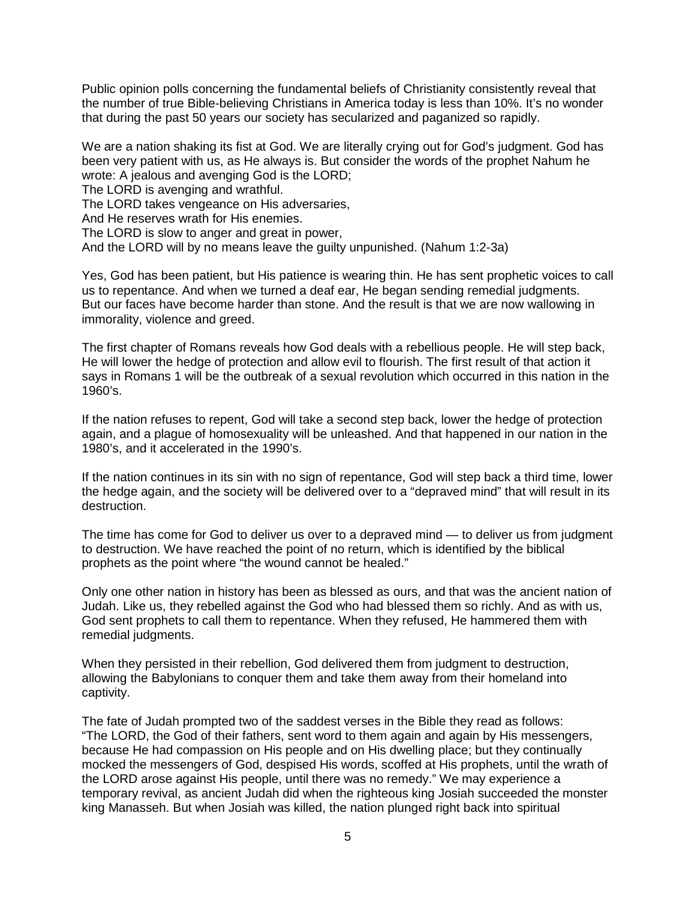Public opinion polls concerning the fundamental beliefs of Christianity consistently reveal that the number of true Bible-believing Christians in America today is less than 10%. It's no wonder that during the past 50 years our society has secularized and paganized so rapidly.

We are a nation shaking its fist at God. We are literally crying out for God's judgment. God has been very patient with us, as He always is. But consider the words of the prophet Nahum he wrote: A jealous and avenging God is the LORD;

The LORD is avenging and wrathful.

The LORD takes vengeance on His adversaries.

And He reserves wrath for His enemies.

The LORD is slow to anger and great in power,

And the LORD will by no means leave the guilty unpunished. (Nahum 1:2-3a)

Yes, God has been patient, but His patience is wearing thin. He has sent prophetic voices to call us to repentance. And when we turned a deaf ear, He began sending remedial judgments. But our faces have become harder than stone. And the result is that we are now wallowing in immorality, violence and greed.

The first chapter of Romans reveals how God deals with a rebellious people. He will step back, He will lower the hedge of protection and allow evil to flourish. The first result of that action it says in Romans 1 will be the outbreak of a sexual revolution which occurred in this nation in the 1960's.

If the nation refuses to repent, God will take a second step back, lower the hedge of protection again, and a plague of homosexuality will be unleashed. And that happened in our nation in the 1980's, and it accelerated in the 1990's.

If the nation continues in its sin with no sign of repentance, God will step back a third time, lower the hedge again, and the society will be delivered over to a "depraved mind" that will result in its destruction.

The time has come for God to deliver us over to a depraved mind — to deliver us from judgment to destruction. We have reached the point of no return, which is identified by the biblical prophets as the point where "the wound cannot be healed."

Only one other nation in history has been as blessed as ours, and that was the ancient nation of Judah. Like us, they rebelled against the God who had blessed them so richly. And as with us, God sent prophets to call them to repentance. When they refused, He hammered them with remedial judgments.

When they persisted in their rebellion, God delivered them from judgment to destruction, allowing the Babylonians to conquer them and take them away from their homeland into captivity.

The fate of Judah prompted two of the saddest verses in the Bible they read as follows: "The LORD, the God of their fathers, sent word to them again and again by His messengers, because He had compassion on His people and on His dwelling place; but they continually mocked the messengers of God, despised His words, scoffed at His prophets, until the wrath of the LORD arose against His people, until there was no remedy." We may experience a temporary revival, as ancient Judah did when the righteous king Josiah succeeded the monster king Manasseh. But when Josiah was killed, the nation plunged right back into spiritual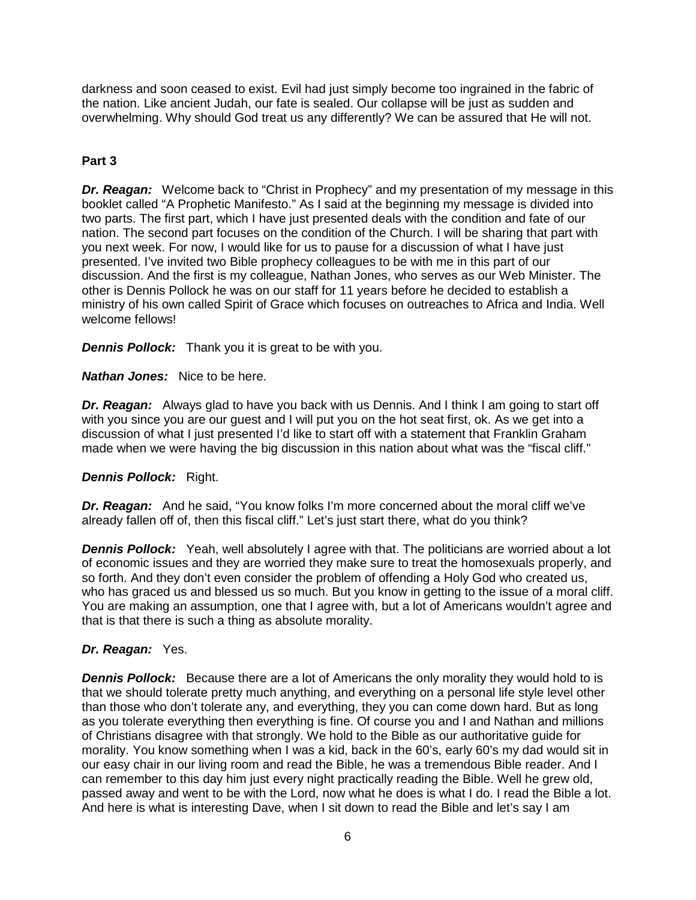darkness and soon ceased to exist. Evil had just simply become too ingrained in the fabric of the nation. Like ancient Judah, our fate is sealed. Our collapse will be just as sudden and overwhelming. Why should God treat us any differently? We can be assured that He will not.

#### **Part 3**

*Dr. Reagan:* Welcome back to "Christ in Prophecy" and my presentation of my message in this booklet called "A Prophetic Manifesto." As I said at the beginning my message is divided into two parts. The first part, which I have just presented deals with the condition and fate of our nation. The second part focuses on the condition of the Church. I will be sharing that part with you next week. For now, I would like for us to pause for a discussion of what I have just presented. I've invited two Bible prophecy colleagues to be with me in this part of our discussion. And the first is my colleague, Nathan Jones, who serves as our Web Minister. The other is Dennis Pollock he was on our staff for 11 years before he decided to establish a ministry of his own called Spirit of Grace which focuses on outreaches to Africa and India. Well welcome fellows!

**Dennis Pollock:** Thank you it is great to be with you.

*Nathan Jones:* Nice to be here.

**Dr. Reagan:** Always glad to have you back with us Dennis. And I think I am going to start off with you since you are our guest and I will put you on the hot seat first, ok. As we get into a discussion of what I just presented I'd like to start off with a statement that Franklin Graham made when we were having the big discussion in this nation about what was the "fiscal cliff."

# *Dennis Pollock:* Right.

**Dr. Reagan:** And he said, "You know folks I'm more concerned about the moral cliff we've already fallen off of, then this fiscal cliff." Let's just start there, what do you think?

**Dennis Pollock:** Yeah, well absolutely I agree with that. The politicians are worried about a lot of economic issues and they are worried they make sure to treat the homosexuals properly, and so forth. And they don't even consider the problem of offending a Holy God who created us, who has graced us and blessed us so much. But you know in getting to the issue of a moral cliff. You are making an assumption, one that I agree with, but a lot of Americans wouldn't agree and that is that there is such a thing as absolute morality.

# *Dr. Reagan:* Yes.

*Dennis Pollock:* Because there are a lot of Americans the only morality they would hold to is that we should tolerate pretty much anything, and everything on a personal life style level other than those who don't tolerate any, and everything, they you can come down hard. But as long as you tolerate everything then everything is fine. Of course you and I and Nathan and millions of Christians disagree with that strongly. We hold to the Bible as our authoritative guide for morality. You know something when I was a kid, back in the 60's, early 60's my dad would sit in our easy chair in our living room and read the Bible, he was a tremendous Bible reader. And I can remember to this day him just every night practically reading the Bible. Well he grew old, passed away and went to be with the Lord, now what he does is what I do. I read the Bible a lot. And here is what is interesting Dave, when I sit down to read the Bible and let's say I am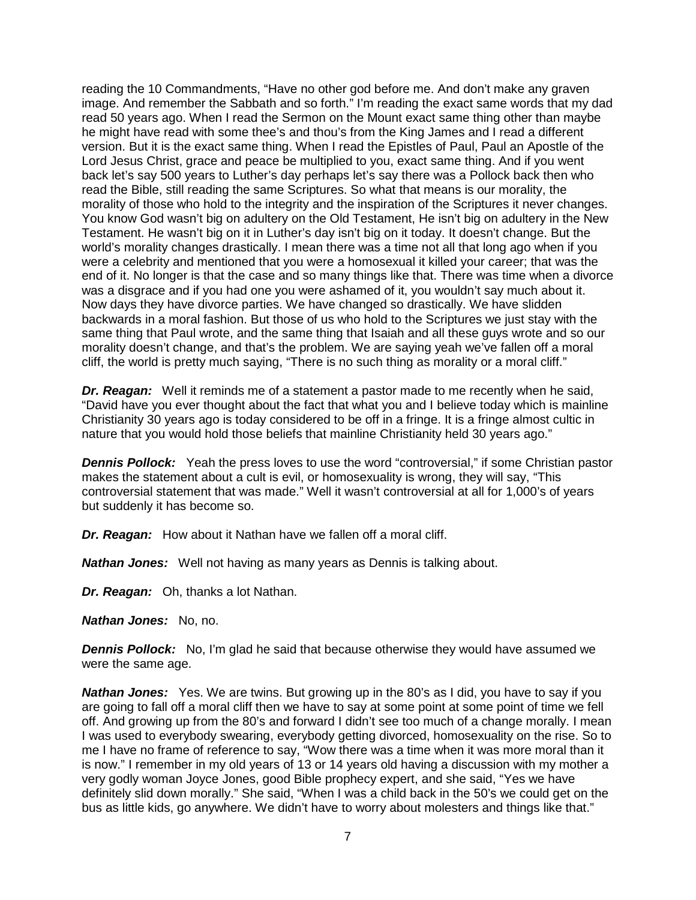reading the 10 Commandments, "Have no other god before me. And don't make any graven image. And remember the Sabbath and so forth." I'm reading the exact same words that my dad read 50 years ago. When I read the Sermon on the Mount exact same thing other than maybe he might have read with some thee's and thou's from the King James and I read a different version. But it is the exact same thing. When I read the Epistles of Paul, Paul an Apostle of the Lord Jesus Christ, grace and peace be multiplied to you, exact same thing. And if you went back let's say 500 years to Luther's day perhaps let's say there was a Pollock back then who read the Bible, still reading the same Scriptures. So what that means is our morality, the morality of those who hold to the integrity and the inspiration of the Scriptures it never changes. You know God wasn't big on adultery on the Old Testament, He isn't big on adultery in the New Testament. He wasn't big on it in Luther's day isn't big on it today. It doesn't change. But the world's morality changes drastically. I mean there was a time not all that long ago when if you were a celebrity and mentioned that you were a homosexual it killed your career; that was the end of it. No longer is that the case and so many things like that. There was time when a divorce was a disgrace and if you had one you were ashamed of it, you wouldn't say much about it. Now days they have divorce parties. We have changed so drastically. We have slidden backwards in a moral fashion. But those of us who hold to the Scriptures we just stay with the same thing that Paul wrote, and the same thing that Isaiah and all these guys wrote and so our morality doesn't change, and that's the problem. We are saying yeah we've fallen off a moral cliff, the world is pretty much saying, "There is no such thing as morality or a moral cliff."

*Dr. Reagan:* Well it reminds me of a statement a pastor made to me recently when he said, "David have you ever thought about the fact that what you and I believe today which is mainline Christianity 30 years ago is today considered to be off in a fringe. It is a fringe almost cultic in nature that you would hold those beliefs that mainline Christianity held 30 years ago."

**Dennis Pollock:** Yeah the press loves to use the word "controversial," if some Christian pastor makes the statement about a cult is evil, or homosexuality is wrong, they will say, "This controversial statement that was made." Well it wasn't controversial at all for 1,000's of years but suddenly it has become so.

*Dr. Reagan:* How about it Nathan have we fallen off a moral cliff.

*Nathan Jones:* Well not having as many years as Dennis is talking about.

*Dr. Reagan:* Oh, thanks a lot Nathan.

*Nathan Jones:* No, no.

**Dennis Pollock:** No, I'm glad he said that because otherwise they would have assumed we were the same age.

**Nathan Jones:** Yes. We are twins. But growing up in the 80's as I did, you have to say if you are going to fall off a moral cliff then we have to say at some point at some point of time we fell off. And growing up from the 80's and forward I didn't see too much of a change morally. I mean I was used to everybody swearing, everybody getting divorced, homosexuality on the rise. So to me I have no frame of reference to say, "Wow there was a time when it was more moral than it is now." I remember in my old years of 13 or 14 years old having a discussion with my mother a very godly woman Joyce Jones, good Bible prophecy expert, and she said, "Yes we have definitely slid down morally." She said, "When I was a child back in the 50's we could get on the bus as little kids, go anywhere. We didn't have to worry about molesters and things like that."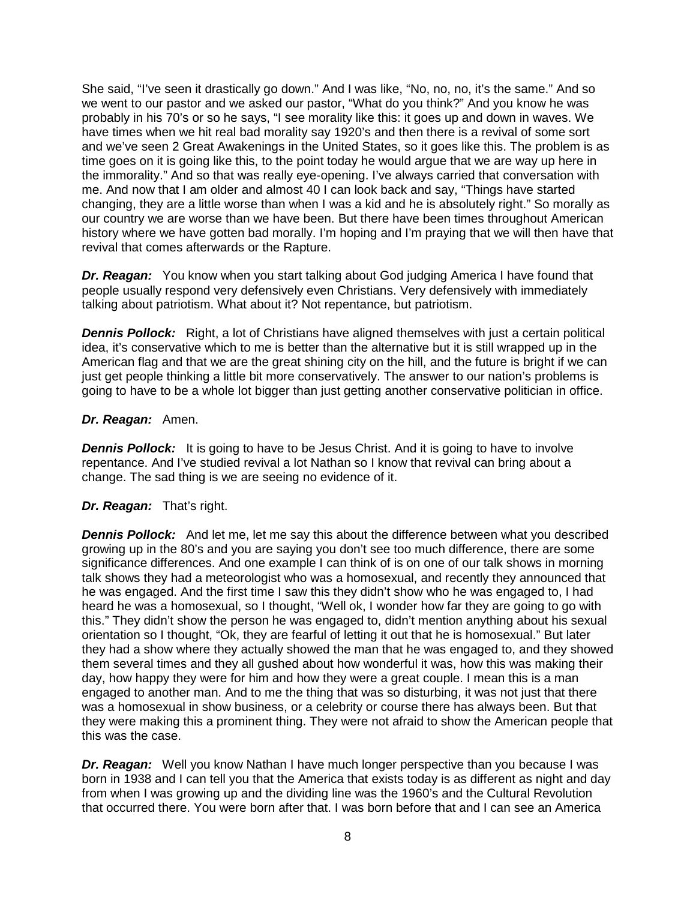She said, "I've seen it drastically go down." And I was like, "No, no, no, it's the same." And so we went to our pastor and we asked our pastor, "What do you think?" And you know he was probably in his 70's or so he says, "I see morality like this: it goes up and down in waves. We have times when we hit real bad morality say 1920's and then there is a revival of some sort and we've seen 2 Great Awakenings in the United States, so it goes like this. The problem is as time goes on it is going like this, to the point today he would argue that we are way up here in the immorality." And so that was really eye-opening. I've always carried that conversation with me. And now that I am older and almost 40 I can look back and say, "Things have started changing, they are a little worse than when I was a kid and he is absolutely right." So morally as our country we are worse than we have been. But there have been times throughout American history where we have gotten bad morally. I'm hoping and I'm praying that we will then have that revival that comes afterwards or the Rapture.

*Dr. Reagan:* You know when you start talking about God judging America I have found that people usually respond very defensively even Christians. Very defensively with immediately talking about patriotism. What about it? Not repentance, but patriotism.

**Dennis Pollock:** Right, a lot of Christians have aligned themselves with just a certain political idea, it's conservative which to me is better than the alternative but it is still wrapped up in the American flag and that we are the great shining city on the hill, and the future is bright if we can just get people thinking a little bit more conservatively. The answer to our nation's problems is going to have to be a whole lot bigger than just getting another conservative politician in office.

#### *Dr. Reagan:* Amen.

**Dennis Pollock:** It is going to have to be Jesus Christ. And it is going to have to involve repentance. And I've studied revival a lot Nathan so I know that revival can bring about a change. The sad thing is we are seeing no evidence of it.

# *Dr. Reagan:* That's right.

**Dennis Pollock:** And let me, let me say this about the difference between what you described growing up in the 80's and you are saying you don't see too much difference, there are some significance differences. And one example I can think of is on one of our talk shows in morning talk shows they had a meteorologist who was a homosexual, and recently they announced that he was engaged. And the first time I saw this they didn't show who he was engaged to, I had heard he was a homosexual, so I thought, "Well ok, I wonder how far they are going to go with this." They didn't show the person he was engaged to, didn't mention anything about his sexual orientation so I thought, "Ok, they are fearful of letting it out that he is homosexual." But later they had a show where they actually showed the man that he was engaged to, and they showed them several times and they all gushed about how wonderful it was, how this was making their day, how happy they were for him and how they were a great couple. I mean this is a man engaged to another man. And to me the thing that was so disturbing, it was not just that there was a homosexual in show business, or a celebrity or course there has always been. But that they were making this a prominent thing. They were not afraid to show the American people that this was the case.

*Dr. Reagan:* Well you know Nathan I have much longer perspective than you because I was born in 1938 and I can tell you that the America that exists today is as different as night and day from when I was growing up and the dividing line was the 1960's and the Cultural Revolution that occurred there. You were born after that. I was born before that and I can see an America